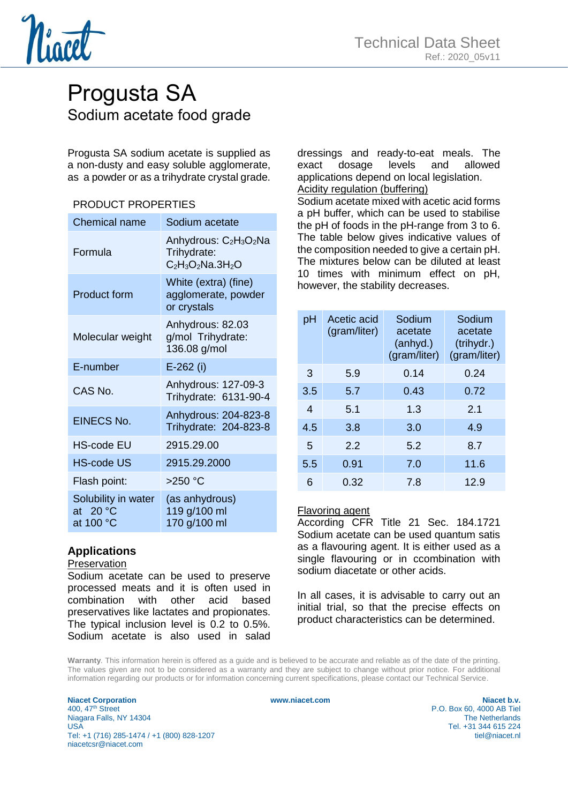

# Progusta SA Sodium acetate food grade

Progusta SA sodium acetate is supplied as a non-dusty and easy soluble agglomerate, as a powder or as a trihydrate crystal grade.

### PRODUCT PROPERTIES

| <b>Chemical name</b>                           | Sodium acetate                                                                                   |  |
|------------------------------------------------|--------------------------------------------------------------------------------------------------|--|
| Formula                                        | Anhydrous: C <sub>2</sub> H <sub>3</sub> O <sub>2</sub> Na<br>Trihydrate:<br>$C_2H_3O_2Na.3H_2O$ |  |
| <b>Product form</b>                            | White (extra) (fine)<br>agglomerate, powder<br>or crystals                                       |  |
| Molecular weight                               | Anhydrous: 82.03<br>g/mol Trihydrate:<br>136.08 g/mol                                            |  |
| E-number                                       | $E-262$ (i)                                                                                      |  |
| CAS No.                                        | Anhydrous: 127-09-3<br>Trihydrate: 6131-90-4                                                     |  |
| <b>EINECS No.</b>                              | Anhydrous: 204-823-8<br>Trihydrate: 204-823-8                                                    |  |
| HS-code EU                                     | 2915.29.00                                                                                       |  |
| <b>HS-code US</b>                              | 2915.29.2000                                                                                     |  |
| Flash point:                                   | $>250$ °C                                                                                        |  |
| Solubility in water<br>at $20 °C$<br>at 100 °C | (as anhydrous)<br>119 g/100 ml<br>170 g/100 ml                                                   |  |

## **Applications**

#### Preservation

Sodium acetate can be used to preserve processed meats and it is often used in combination with other acid based preservatives like lactates and propionates. The typical inclusion level is 0.2 to 0.5%. Sodium acetate is also used in salad dressings and ready-to-eat meals. The exact dosage levels and allowed applications depend on local legislation. Acidity regulation (buffering)

Sodium acetate mixed with acetic acid forms a pH buffer, which can be used to stabilise the pH of foods in the pH-range from 3 to 6. The table below gives indicative values of the composition needed to give a certain pH. The mixtures below can be diluted at least 10 times with minimum effect on pH, however, the stability decreases.

| pH               | Acetic acid<br>(gram/liter) | Sodium<br>acetate<br>(anhyd.)<br>(gram/liter) | Sodium<br>acetate<br>(trihydr.)<br>(gram/liter) |
|------------------|-----------------------------|-----------------------------------------------|-------------------------------------------------|
| 3                | 5.9                         | 0.14                                          | 0.24                                            |
| 3.5              | 5.7                         | 0.43                                          | 0.72                                            |
| $\boldsymbol{4}$ | 5.1                         | 1.3                                           | 2.1                                             |
| 4.5              | 3.8                         | 3.0                                           | 4.9                                             |
| 5                | 2.2                         | 5.2                                           | 8.7                                             |
| 5.5              | 0.91                        | 7.0                                           | 11.6                                            |
| 6                | 0.32                        | 7.8                                           | 12.9                                            |

#### Flavoring agent

According CFR Title 21 Sec. 184.1721 Sodium acetate can be used quantum satis as a flavouring agent. It is either used as a single flavouring or in ccombination with sodium diacetate or other acids.

In all cases, it is advisable to carry out an initial trial, so that the precise effects on product characteristics can be determined.

**Warranty**. This information herein is offered as a guide and is believed to be accurate and reliable as of the date of the printing. The values given are not to be considered as a warranty and they are subject to change without prior notice. For additional information regarding our products or for information concerning current specifications, please contact our Technical Service.

**Niacet Corporation**<br> **WWW.niacet.com Niacet b.v. Niacet b.v. Niacet b.v. Niacet b.v. Niacet b.v. Niacet b.v. P.O.** Box 60. 4000 AB Tiel Niagara Falls, NY 14304<br>USA Tel: +1 (716) 285-1474 / +1 (800) 828-1207 tiel@niacet.nl niacetcsr@niacet.com

P.O. Box 60, 4000 AB Tiel<br>The Netherlands Tel. +31 344 615 224